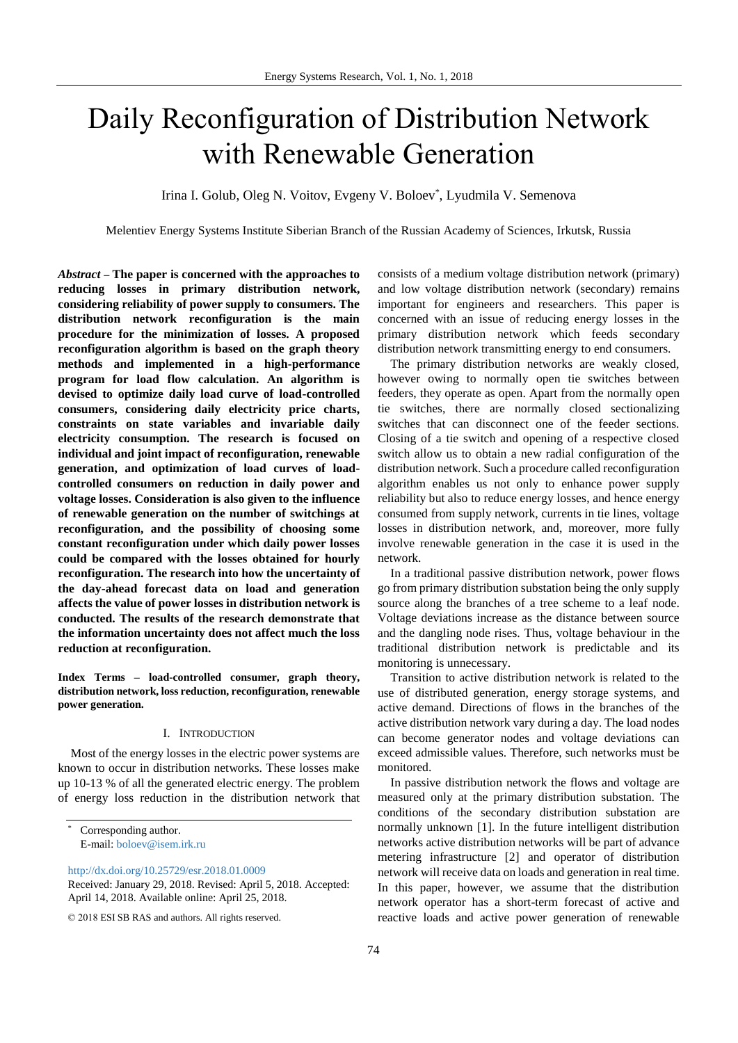# Daily Reconfiguration of Distribution Network with Renewable Generation

Irina I. Golub, Oleg N. Voitov, Evgeny V. Boloev\* , Lyudmila V. Semenova

Melentiev Energy Systems Institute Siberian Branch of the Russian Academy of Sciences, Irkutsk, Russia

*Abstract* **– The paper is concerned with the approaches to reducing losses in primary distribution network, considering reliability of power supply to consumers. The distribution network reconfiguration is the main procedure for the minimization of losses. A proposed reconfiguration algorithm is based on the graph theory methods and implemented in a high-performance program for load flow calculation. An algorithm is devised to optimize daily load curve of load-controlled consumers, considering daily electricity price charts, constraints on state variables and invariable daily electricity consumption. The research is focused on individual and joint impact of reconfiguration, renewable generation, and optimization of load curves of loadcontrolled consumers on reduction in daily power and voltage losses. Consideration is also given to the influence of renewable generation on the number of switchings at reconfiguration, and the possibility of choosing some constant reconfiguration under which daily power losses could be compared with the losses obtained for hourly reconfiguration. The research into how the uncertainty of the day-ahead forecast data on load and generation affects the value of power losses in distribution network is conducted. The results of the research demonstrate that the information uncertainty does not affect much the loss reduction at reconfiguration.**

**Index Terms – load-controlled consumer, graph theory, distribution network, loss reduction, reconfiguration, renewable power generation.**

#### I. INTRODUCTION

Most of the energy losses in the electric power systems are known to occur in distribution networks. These losses make up 10-13 % of all the generated electric energy. The problem of energy loss reduction in the distribution network that

<http://dx.doi.org/10.25729/esr.2018.01.0009>

consists of a medium voltage distribution network (primary) and low voltage distribution network (secondary) remains important for engineers and researchers. This paper is concerned with an issue of reducing energy losses in the primary distribution network which feeds secondary distribution network transmitting energy to end consumers.

The primary distribution networks are weakly closed, however owing to normally open tie switches between feeders, they operate as open. Apart from the normally open tie switches, there are normally closed sectionalizing switches that can disconnect one of the feeder sections. Closing of a tie switch and opening of a respective closed switch allow us to obtain a new radial configuration of the distribution network. Such a procedure called reconfiguration algorithm enables us not only to enhance power supply reliability but also to reduce energy losses, and hence energy consumed from supply network, currents in tie lines, voltage losses in distribution network, and, moreover, more fully involve renewable generation in the case it is used in the network.

In a traditional passive distribution network, power flows go from primary distribution substation being the only supply source along the branches of a tree scheme to a leaf node. Voltage deviations increase as the distance between source and the dangling node rises. Thus, voltage behaviour in the traditional distribution network is predictable and its monitoring is unnecessary.

Transition to active distribution network is related to the use of distributed generation, energy storage systems, and active demand. Directions of flows in the branches of the active distribution network vary during a day. The load nodes can become generator nodes and voltage deviations can exceed admissible values. Therefore, such networks must be monitored.

In passive distribution network the flows and voltage are measured only at the primary distribution substation. The conditions of the secondary distribution substation are normally unknown [1]. In the future intelligent distribution networks active distribution networks will be part of advance metering infrastructure [2] and operator of distribution network will receive data on loads and generation in real time. In this paper, however, we assume that the distribution network operator has a short-term forecast of active and reactive loads and active power generation of renewable

Corresponding author. E-mail: [boloev@isem.irk.ru](mailto:boloev@isem.irk.ru)

Received: January 29, 2018. Revised: April 5, 2018. Accepted: April 14, 2018. Available online: April 25, 2018.

<sup>© 2018</sup> ESI SB RAS and authors. All rights reserved.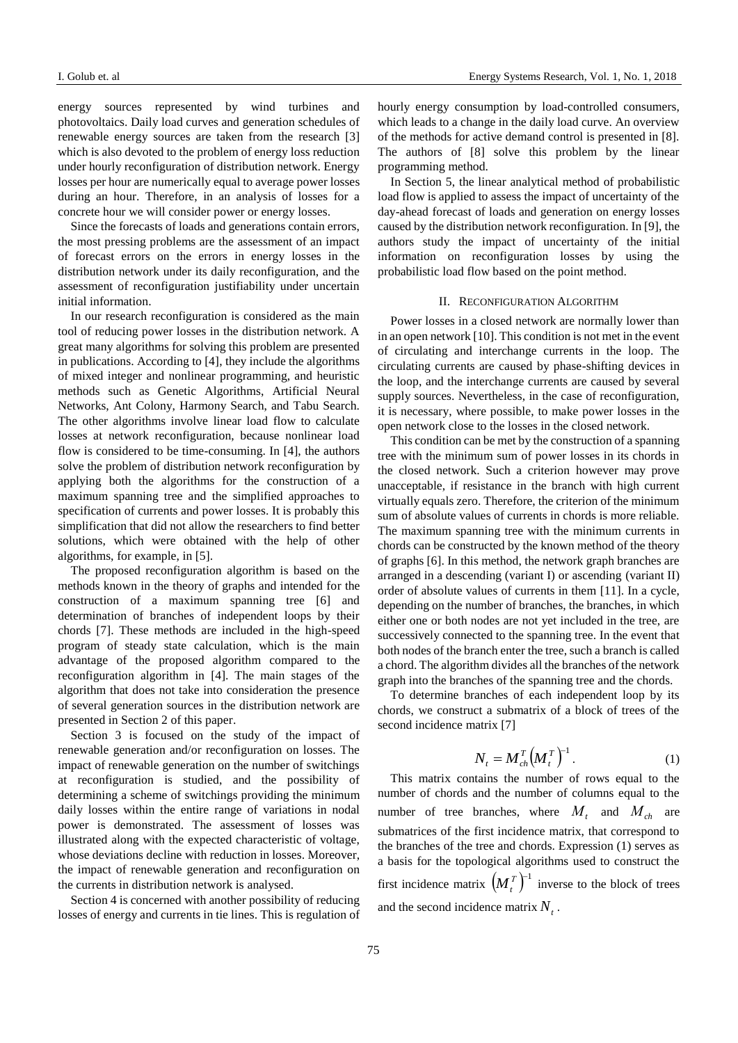I. Golub et. al [Energy Systems Research,](http://esrj.ru/) Vol. 1, No. 1, 2018

energy sources represented by wind turbines and photovoltaics. Daily load curves and generation schedules of renewable energy sources are taken from the research [3] which is also devoted to the problem of energy loss reduction under hourly reconfiguration of distribution network. Energy losses per hour are numerically equal to average power losses during an hour. Therefore, in an analysis of losses for a concrete hour we will consider power or energy losses.

Since the forecasts of loads and generations contain errors, the most pressing problems are the assessment of an impact of forecast errors on the errors in energy losses in the distribution network under its daily reconfiguration, and the assessment of reconfiguration justifiability under uncertain initial information.

In our research reconfiguration is considered as the main tool of reducing power losses in the distribution network. A great many algorithms for solving this problem are presented in publications. According to [4], they include the algorithms of mixed integer and nonlinear programming, and heuristic methods such as Genetic Algorithms, Artificial Neural Networks, Ant Colony, Harmony Search, and Tabu Search. The other algorithms involve linear load flow to calculate losses at network reconfiguration, because nonlinear load flow is considered to be time-consuming. In [4], the authors solve the problem of distribution network reconfiguration by applying both the algorithms for the construction of a maximum spanning tree and the simplified approaches to specification of currents and power losses. It is probably this simplification that did not allow the researchers to find better solutions, which were obtained with the help of other algorithms, for example, in [5].

The proposed reconfiguration algorithm is based on the methods known in the theory of graphs and intended for the construction of a maximum spanning tree [6] and determination of branches of independent loops by their chords [7]. These methods are included in the high-speed program of steady state calculation, which is the main advantage of the proposed algorithm compared to the reconfiguration algorithm in [4]. The main stages of the algorithm that does not take into consideration the presence of several generation sources in the distribution network are presented in Section 2 of this paper.

Section 3 is focused on the study of the impact of renewable generation and/or reconfiguration on losses. The impact of renewable generation on the number of switchings at reconfiguration is studied, and the possibility of determining a scheme of switchings providing the minimum daily losses within the entire range of variations in nodal power is demonstrated. The assessment of losses was illustrated along with the expected characteristic of voltage, whose deviations decline with reduction in losses. Moreover, the impact of renewable generation and reconfiguration on the currents in distribution network is analysed.

Section 4 is concerned with another possibility of reducing losses of energy and currents in tie lines. This is regulation of hourly energy consumption by load-controlled consumers, which leads to a change in the daily load curve. An overview of the methods for active demand control is presented in [8]. The authors of [8] solve this problem by the linear programming method.

In Section 5, the linear analytical method of probabilistic load flow is applied to assess the impact of uncertainty of the day-ahead forecast of loads and generation on energy losses caused by the distribution network reconfiguration. In [9], the authors study the impact of uncertainty of the initial information on reconfiguration losses by using the probabilistic load flow based on the point method.

#### II. RECONFIGURATION ALGORITHM

Power losses in a closed network are normally lower than in an open network [10]. This condition is not met in the event of circulating and interchange currents in the loop. The circulating currents are caused by phase-shifting devices in the loop, and the interchange currents are caused by several supply sources. Nevertheless, in the case of reconfiguration, it is necessary, where possible, to make power losses in the open network close to the losses in the closed network.

This condition can be met by the construction of a spanning tree with the minimum sum of power losses in its chords in the closed network. Such a criterion however may prove unacceptable, if resistance in the branch with high current virtually equals zero. Therefore, the criterion of the minimum sum of absolute values of currents in chords is more reliable. The maximum spanning tree with the minimum currents in chords can be constructed by the known method of the theory of graphs [6]. In this method, the network graph branches are arranged in a descending (variant I) or ascending (variant II) order of absolute values of currents in them [11]. In a cycle, depending on the number of branches, the branches, in which either one or both nodes are not yet included in the tree, are successively connected to the spanning tree. In the event that both nodes of the branch enter the tree, such a branch is called a chord. The algorithm divides all the branches of the network graph into the branches of the spanning tree and the chords.

To determine branches of each independent loop by its chords, we construct a submatrix of a block of trees of the second incidence matrix [7]

$$
N_t = M_{ch}^T \left( M_t^T \right)^{-1} . \tag{1}
$$

This matrix contains the number of rows equal to the number of chords and the number of columns equal to the number of tree branches, where  $M_t$  and  $M_{ch}$  are submatrices of the first incidence matrix, that correspond to the branches of the tree and chords. Expression (1) serves as a basis for the topological algorithms used to construct the first incidence matrix  $(M_t^T)^{-1}$  inverse to the block of trees and the second incidence matrix  $N_t$ .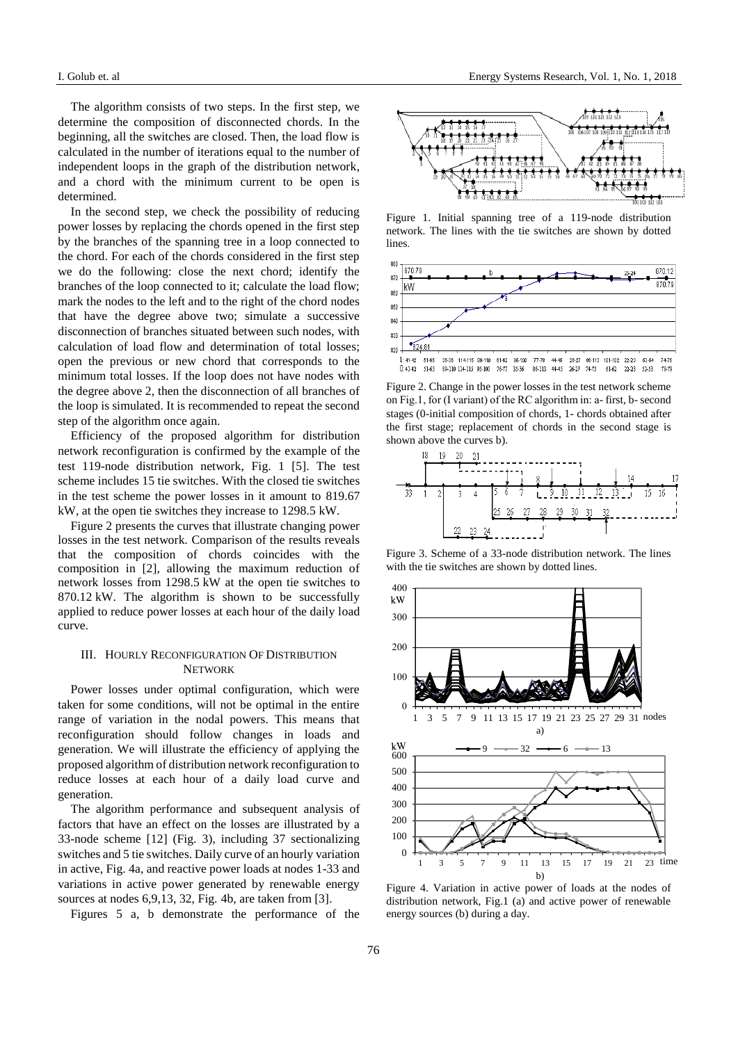The algorithm consists of two steps. In the first step, we determine the composition of disconnected chords. In the beginning, all the switches are closed. Then, the load flow is calculated in the number of iterations equal to the number of independent loops in the graph of the distribution network, and a chord with the minimum current to be open is determined.

In the second step, we check the possibility of reducing power losses by replacing the chords opened in the first step by the branches of the spanning tree in a loop connected to the chord. For each of the chords considered in the first step we do the following: close the next chord; identify the branches of the loop connected to it; calculate the load flow; mark the nodes to the left and to the right of the chord nodes that have the degree above two; simulate a successive disconnection of branches situated between such nodes, with calculation of load flow and determination of total losses; open the previous or new chord that corresponds to the minimum total losses. If the loop does not have nodes with the degree above 2, then the disconnection of all branches of the loop is simulated. It is recommended to repeat the second step of the algorithm once again.

Efficiency of the proposed algorithm for distribution network reconfiguration is confirmed by the example of the test 119-node distribution network, Fig. 1 [5]. The test scheme includes 15 tie switches. With the closed tie switches in the test scheme the power losses in it amount to 819.67 kW, at the open tie switches they increase to 1298.5 kW.

Figure 2 presents the curves that illustrate changing power losses in the test network*.* Comparison of the results reveals that the composition of chords coincides with the composition in [2], allowing the maximum reduction of network losses from 1298.5 kW at the open tie switches to 870.12 kW. The algorithm is shown to be successfully applied to reduce power losses at each hour of the daily load curve.

## III. HOURLY RECONFIGURATION OF DISTRIBUTION **NETWORK**

Power losses under optimal configuration, which were taken for some conditions, will not be optimal in the entire range of variation in the nodal powers. This means that reconfiguration should follow changes in loads and generation. We will illustrate the efficiency of applying the proposed algorithm of distribution network reconfiguration to reduce losses at each hour of a daily load curve and generation.

The algorithm performance and subsequent analysis of factors that have an effect on the losses are illustrated by a 33-node scheme [12] (Fig. 3), including 37 sectionalizing switches and 5 tie switches. Daily curve of an hourly variation in active, Fig. 4a, and reactive power loads at nodes 1-33 and variations in active power generated by renewable energy sources at nodes 6,9,13, 32, Fig. 4b, are taken from [3].

Figures 5 a, b demonstrate the performance of the



Figure 1. Initial spanning tree of a 119-node distribution network. The lines with the tie switches are shown by dotted lines.



Figure 2. Change in the power losses in the test network scheme on Fig.1, for (I variant) of the RC algorithm in: а- first, b- second stages (0-initial composition of chords, 1- chords obtained after the first stage; replacement of chords in the second stage is shown above the curves b).



Figure 3. Scheme of a 33-node distribution network. The lines with the tie switches are shown by dotted lines.



Figure 4. Variation in active power of loads at the nodes of distribution network, Fig.1 (a) and active power of renewable energy sources (b) during a day.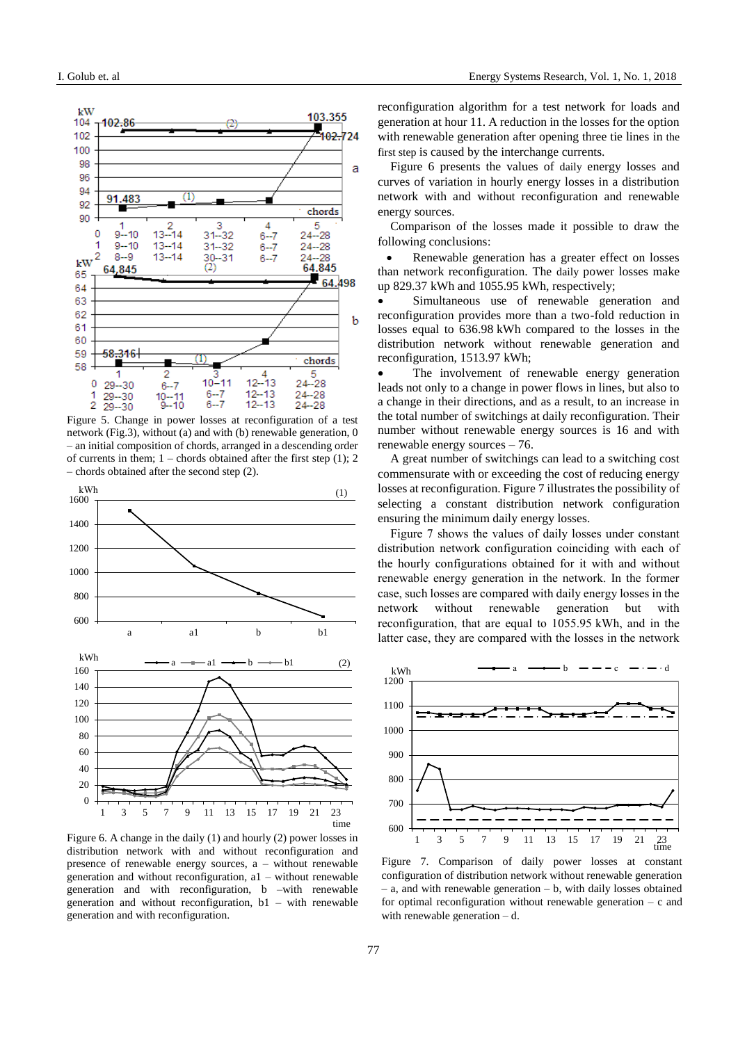

Figure 5. Change in power losses at reconfiguration of a test network (Fig.3), without (a) and with (b) renewable generation, 0 – an initial composition of chords, arranged in a descending order of currents in them;  $1$  – chords obtained after the first step (1); 2 – chords obtained after the second step (2).



Figure 6. A change in the daily (1) and hourly (2) power losses in distribution network with and without reconfiguration and presence of renewable energy sources, a – without renewable generation and without reconfiguration, a1 – without renewable generation and with reconfiguration, b –with renewable generation and without reconfiguration, b1 – with renewable generation and with reconfiguration.

reconfiguration algorithm for a test network for loads and generation at hour 11. A reduction in the losses for the option with renewable generation after opening three tie lines in the first step is caused by the interchange currents.

Figure 6 presents the values of daily energy losses and curves of variation in hourly energy losses in a distribution network with and without reconfiguration and renewable energy sources.

Comparison of the losses made it possible to draw the following conclusions:

 Renewable generation has a greater effect on losses than network reconfiguration. The daily power losses make up 829.37 kWh and 1055.95 kWh, respectively;

 Simultaneous use of renewable generation and reconfiguration provides more than a two-fold reduction in losses equal to 636.98 kWh compared to the losses in the distribution network without renewable generation and reconfiguration, 1513.97 kWh;

 The involvement of renewable energy generation leads not only to a change in power flows in lines, but also to a change in their directions, and as a result, to an increase in the total number of switchings at daily reconfiguration. Their number without renewable energy sources is 16 and with renewable energy sources – 76.

A great number of switchings can lead to a switching cost commensurate with or exceeding the cost of reducing energy losses at reconfiguration. Figure 7 illustrates the possibility of selecting a constant distribution network configuration ensuring the minimum daily energy losses.

Figure 7 shows the values of daily losses under constant distribution network configuration coinciding with each of the hourly configurations obtained for it with and without renewable energy generation in the network. In the former case, such losses are compared with daily energy losses in the network without renewable generation but with reconfiguration, that are equal to 1055.95 kWh, and in the latter case, they are compared with the losses in the network



Figure 7. Comparison of daily power losses at constant configuration of distribution network without renewable generation – a, and with renewable generation – b, with daily losses obtained for optimal reconfiguration without renewable generation  $- c$  and with renewable generation – d.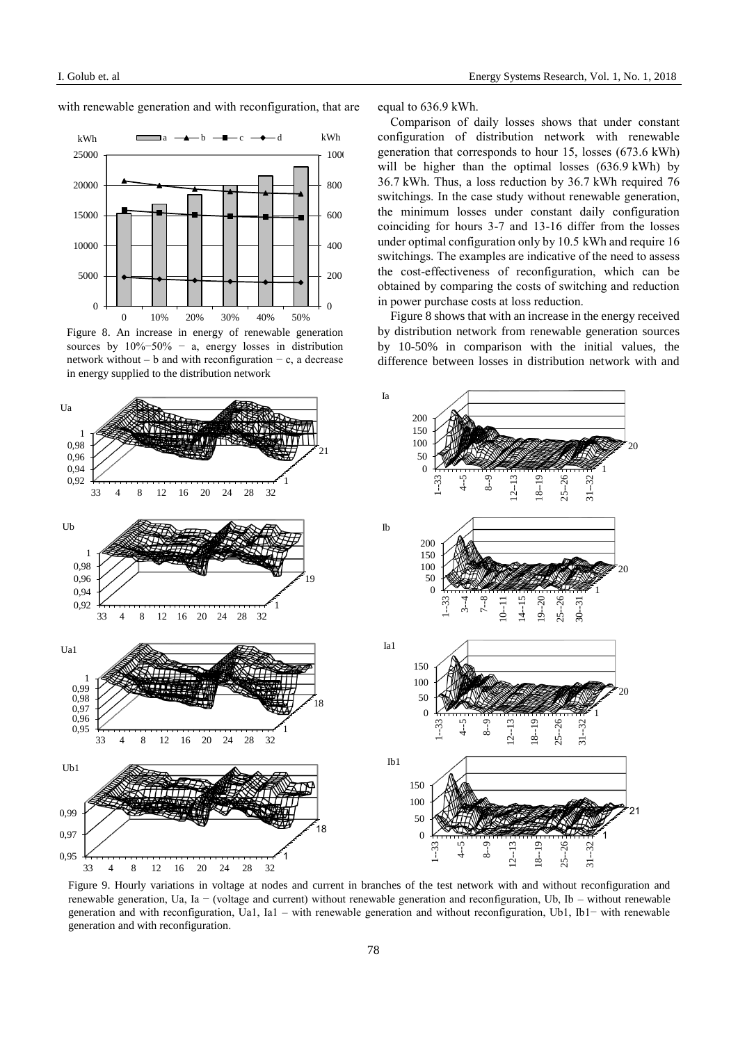with renewable generation and with reconfiguration, that are equal to 636.9 kWh.



Figure 8. An increase in energy of renewable generation sources by  $10\% - 50\% - a$ , energy losses in distribution network without – b and with reconfiguration – c, a decrease in energy supplied to the distribution network

Comparison of daily losses shows that under constant configuration of distribution network with renewable generation that corresponds to hour 15, losses (673.6 kWh) will be higher than the optimal losses (636.9 kWh) by 36.7 kWh. Thus, a loss reduction by 36.7 kWh required 76 switchings. In the case study without renewable generation, the minimum losses under constant daily configuration coinciding for hours 3-7 and 13-16 differ from the losses under optimal configuration only by 10.5 kWh and require 16 switchings. The examples are indicative of the need to assess the cost-effectiveness of reconfiguration, which can be obtained by comparing the costs of switching and reduction in power purchase costs at loss reduction.

Figure 8 shows that with an increase in the energy received by distribution network from renewable generation sources by 10-50% in comparison with the initial values, the difference between losses in distribution network with and



Figure 9. Hourly variations in voltage at nodes and current in branches of the test network with and without reconfiguration and renewable generation, Uа, Ia − (voltage and current) without renewable generation and reconfiguration, Ub, Ib – without renewable generation and with reconfiguration, Ua1, Ia1 – with renewable generation and without reconfiguration, Ub1, Ib1− with renewable generation and with reconfiguration.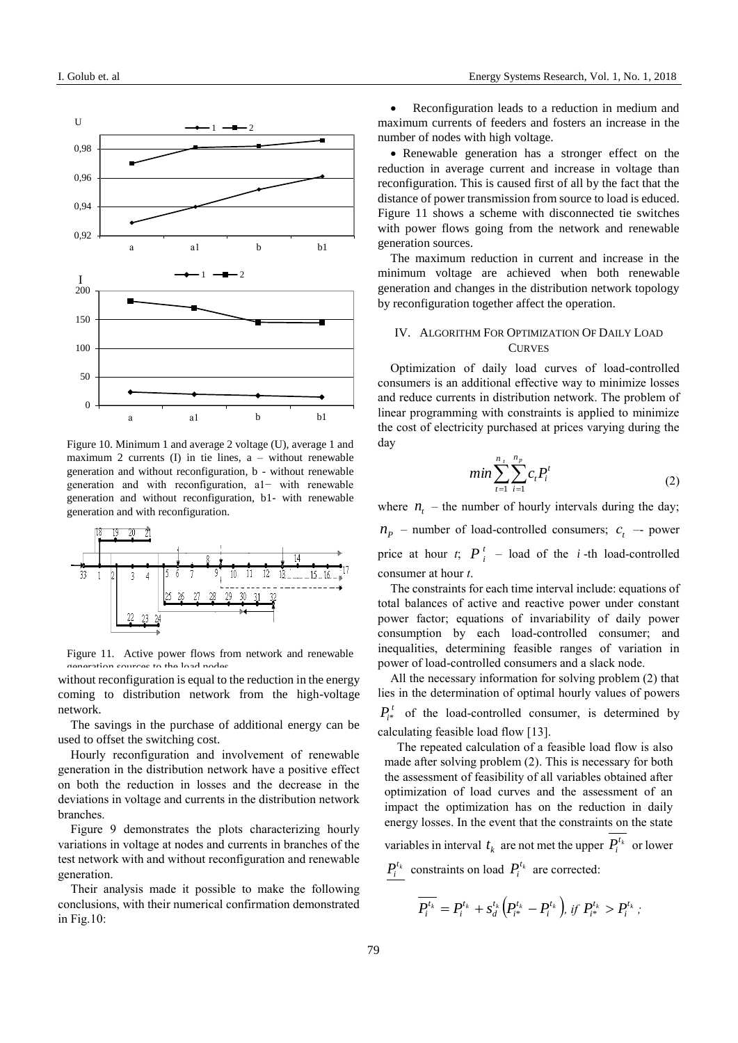

Figure 10. Minimum 1 and average 2 voltage (U), average 1 and maximum 2 currents (I) in tie lines, a – without renewable generation and without reconfiguration, b - without renewable generation and with reconfiguration, a1− with renewable generation and without reconfiguration, b1- with renewable generation and with reconfiguration.



Figure 11. Active power flows from network and renewable generation sources to the load nodes.

without reconfiguration is equal to the reduction in the energy coming to distribution network from the high-voltage network.

The savings in the purchase of additional energy can be used to offset the switching cost.

Hourly reconfiguration and involvement of renewable generation in the distribution network have a positive effect on both the reduction in losses and the decrease in the deviations in voltage and currents in the distribution network branches.

Figure 9 demonstrates the plots characterizing hourly variations in voltage at nodes and currents in branches of the test network with and without reconfiguration and renewable generation.

Their analysis made it possible to make the following conclusions, with their numerical confirmation demonstrated in Fig.10:

 Reconfiguration leads to a reduction in medium and maximum currents of feeders and fosters an increase in the number of nodes with high voltage.

 Renewable generation has a stronger effect on the reduction in average current and increase in voltage than reconfiguration. This is caused first of all by the fact that the distance of power transmission from source to load is educed. Figure 11 shows a scheme with disconnected tie switches with power flows going from the network and renewable generation sources.

The maximum reduction in current and increase in the minimum voltage are achieved when both renewable generation and changes in the distribution network topology by reconfiguration together affect the operation.

## IV. ALGORITHM FOR OPTIMIZATION OF DAILY LOAD **CURVES**

Optimization of daily load curves of load-controlled consumers is an additional effective way to minimize losses and reduce currents in distribution network. The problem of linear programming with constraints is applied to minimize the cost of electricity purchased at prices varying during the day

$$
min \sum_{t=1}^{n_t} \sum_{i=1}^{n_p} c_t P_i^t \tag{2}
$$

where  $n_t$  – the number of hourly intervals during the day;

 $n_p$  – number of load-controlled consumers;  $c_t$  – power price at hour *t*;  $P_i^t$  – load of the *i*-th load-controlled consumer at hour *t*.

The constraints for each time interval include: equations of total balances of active and reactive power under constant power factor; equations of invariability of daily power consumption by each load-controlled consumer; and inequalities, determining feasible ranges of variation in power of load-controlled consumers and a slack node.

All the necessary information for solving problem (2) that lies in the determination of optimal hourly values of powers  $P_i^t$  of the load-controlled consumer, is determined by calculating feasible load flow [13].

The repeated calculation of a feasible load flow is also made after solving problem (2). This is necessary for both the assessment of feasibility of all variables obtained after optimization of load curves and the assessment of an impact the optimization has on the reduction in daily energy losses. In the event that the constraints on the state variables in interval  $t_k$  are not met the upper  $P_i^{t_k}$  or lower

 $P_i^{t_k}$  constraints on load  $P_i^{t_k}$  are corrected:

$$
\overline{P_i^{t_k}} = P_i^{t_k} + s_d^{t_k} \Big( P_{i^*}^{t_k} - P_i^{t_k} \Big), \text{ if } P_{i^*}^{t_k} > P_i^{t_k};
$$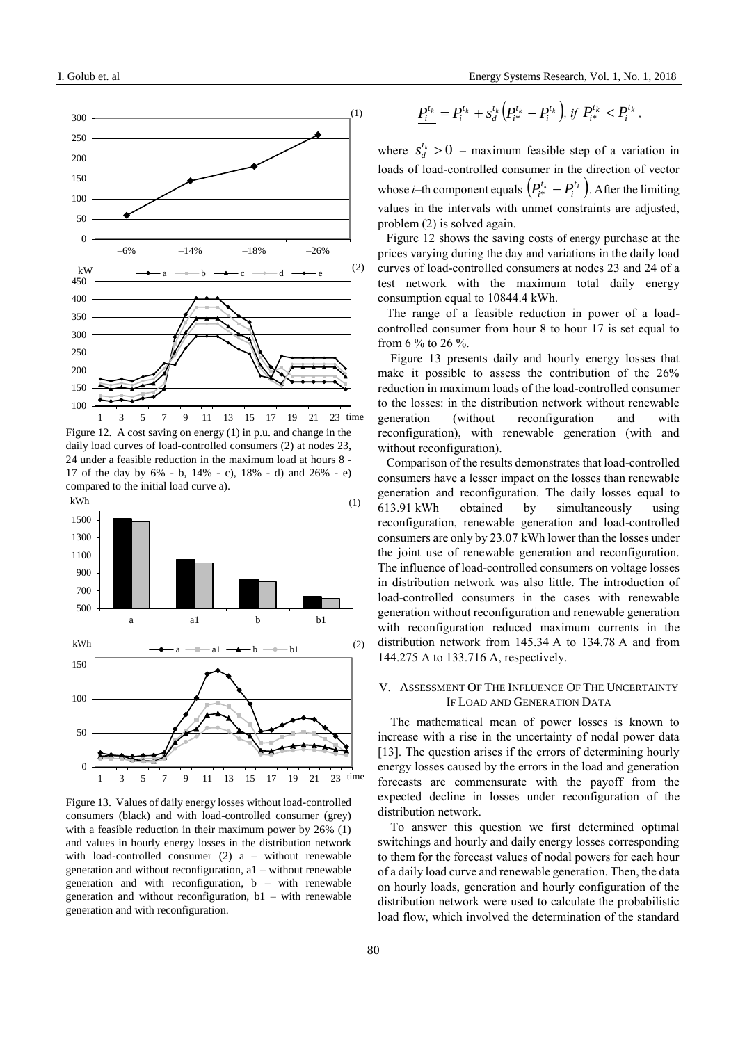

Figure 12. A cost saving on energy (1) in p.u. and change in the daily load curves of load-controlled consumers (2) at nodes 23, 24 under a feasible reduction in the maximum load at hours 8 - 17 of the day by 6% - b, 14% - c), 18% - d) and 26% - e) compared to the initial load curve a).



Figure 13. Values of daily energy losses without load-controlled consumers (black) and with load-controlled consumer (grey) with a feasible reduction in their maximum power by 26% (1) and values in hourly energy losses in the distribution network with load-controlled consumer  $(2)$  a – without renewable generation and without reconfiguration, a1 – without renewable generation and with reconfiguration, b – with renewable generation and without reconfiguration, b1 – with renewable generation and with reconfiguration.

$$
\underline{P_i^{t_k}} = P_i^{t_k} + s_d^{t_k} \Big( P_{i^*}^{t_k} - P_i^{t_k} \Big), \text{ if } P_{i^*}^{t_k} < P_i^{t_k},
$$

where  $s_d^{t_k} > 0$  $s_d^{t_k} > 0$  – maximum feasible step of a variation in loads of load-controlled consumer in the direction of vector whose *i*–th component equals  $\left( P_{i*}^{t_k} - P_i^{t_k} \right)$ .  $P_{i^*}^{t_k} - P_i^{t_k}$ ). After the limiting values in the intervals with unmet constraints are adjusted, problem (2) is solved again.

Figure 12 shows the saving costs of energy purchase at the prices varying during the day and variations in the daily load curves of load-controlled consumers at nodes 23 and 24 of a test network with the maximum total daily energy consumption equal to 10844.4 kWh.

The range of a feasible reduction in power of a loadcontrolled consumer from hour 8 to hour 17 is set equal to from 6 % to 26 %.

Figure 13 presents daily and hourly energy losses that make it possible to assess the contribution of the 26% reduction in maximum loads of the load-controlled consumer to the losses: in the distribution network without renewable generation (without reconfiguration and with reconfiguration), with renewable generation (with and without reconfiguration).

 $P_1^{x_i} = P_i^{x_i} + s_A^{x_i} (P_i^{x_k} - P_i^{x_k})$ ,<br>
where  $s_A^{x_i} > 0$  – maximum feasible<br>
loads of load-controlled consumer in<br>
whose *i*-th component equals  $(P_i^{x_i} - P_i^{x_i})$ ,<br>
where  $s_A^{x_i} > 0$  – maximum feasible<br>
maximum and the int Comparison of the results demonstrates that load-controlled consumers have a lesser impact on the losses than renewable generation and reconfiguration. The daily losses equal to 613.91 kWh obtained by simultaneously using reconfiguration, renewable generation and load-controlled consumers are only by 23.07 kWh lower than the losses under the joint use of renewable generation and reconfiguration. The influence of load-controlled consumers on voltage losses in distribution network was also little. The introduction of load-controlled consumers in the cases with renewable generation without reconfiguration and renewable generation with reconfiguration reduced maximum currents in the distribution network from 145.34 A to 134.78 A and from 144.275 A to 133.716 A, respectively.

## V. ASSESSMENT OF THE INFLUENCE OF THE UNCERTAINTY IF LOAD AND GENERATION DATA

The mathematical mean of power losses is known to increase with a rise in the uncertainty of nodal power data [13]. The question arises if the errors of determining hourly energy losses caused by the errors in the load and generation forecasts are commensurate with the payoff from the expected decline in losses under reconfiguration of the distribution network.

To answer this question we first determined optimal switchings and hourly and daily energy losses corresponding to them for the forecast values of nodal powers for each hour of a daily load curve and renewable generation. Then, the data on hourly loads, generation and hourly configuration of the distribution network were used to calculate the probabilistic load flow, which involved the determination of the standard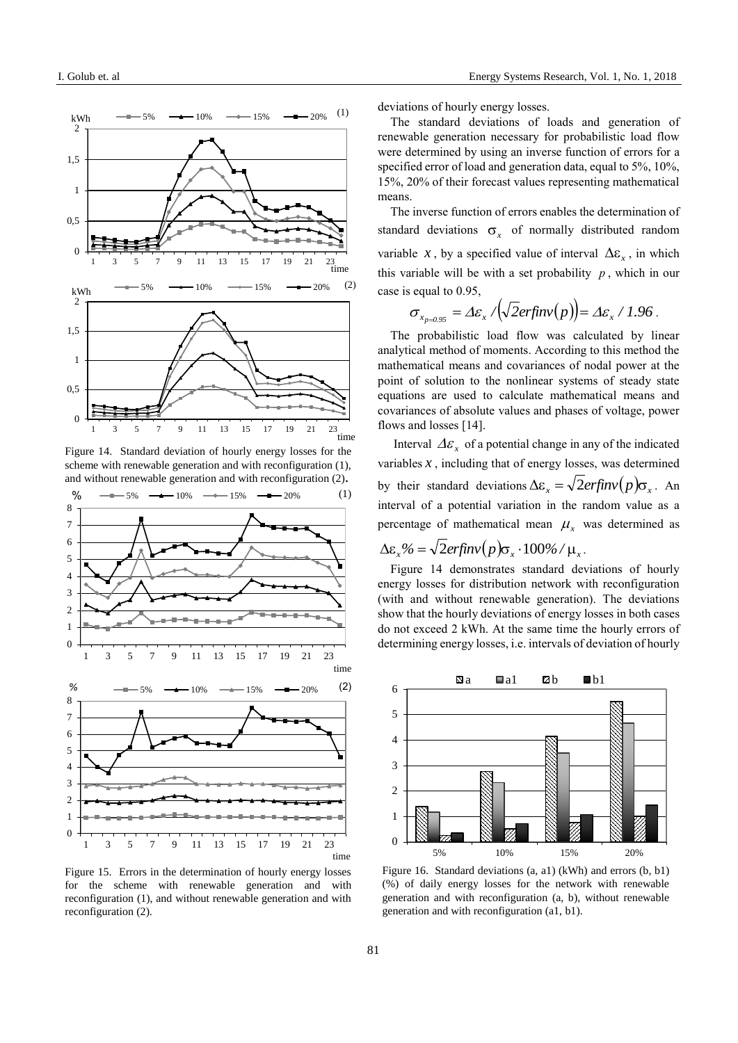

Figure 14. Standard deviation of hourly energy losses for the scheme with renewable generation and with reconfiguration (1), and without renewable generation and with reconfiguration (2)**.**



Figure 15. Errors in the determination of hourly energy losses for the scheme with renewable generation and with reconfiguration (1), and without renewable generation and with reconfiguration (2).

deviations of hourly energy losses.

The standard deviations of loads and generation of renewable generation necessary for probabilistic load flow were determined by using an inverse function of errors for a specified error of load and generation data, equal to 5%, 10%, 15%, 20% of their forecast values representing mathematical means.

The inverse function of errors enables the determination of standard deviations  $\sigma_x$  of normally distributed random variable *x*, by a specified value of interval  $\Delta \varepsilon_x$ , in which this variable will be with a set probability  $p$ , which in our case is equal to 0.95,

$$
\sigma_{x_{p=0.95}} = \Delta \varepsilon_{x} / (\sqrt{2} \text{erfin} \nu(p)) = \Delta \varepsilon_{x} / 1.96
$$

The probabilistic load flow was calculated by linear analytical method of moments. According to this method the mathematical means and covariances of nodal power at the point of solution to the nonlinear systems of steady state equations are used to calculate mathematical means and covariances of absolute values and phases of voltage, power flows and losses [14].

Interval  $\Delta \varepsilon_x$  of a potential change in any of the indicated variables  $x$ , including that of energy losses, was determined by their standard deviations  $\Delta \varepsilon_x = \sqrt{2erfinv(p)}\sigma_x$ . An interval of a potential variation in the random value as a percentage of mathematical mean  $\mu$ <sub>x</sub> was determined as

$$
\Delta \varepsilon_x\% = \sqrt{2erfinv(p)}\sigma_x \cdot 100\% / \mu_x.
$$

Figure 14 demonstrates standard deviations of hourly energy losses for distribution network with reconfiguration (with and without renewable generation). The deviations show that the hourly deviations of energy losses in both cases do not exceed 2 kWh. At the same time the hourly errors of determining energy losses, i.e. intervals of deviation of hourly



Figure 16. Standard deviations (a, a1) (kWh) and errors (b, b1) (%) of daily energy losses for the network with renewable generation and with reconfiguration (a, b), without renewable generation and with reconfiguration (a1, b1).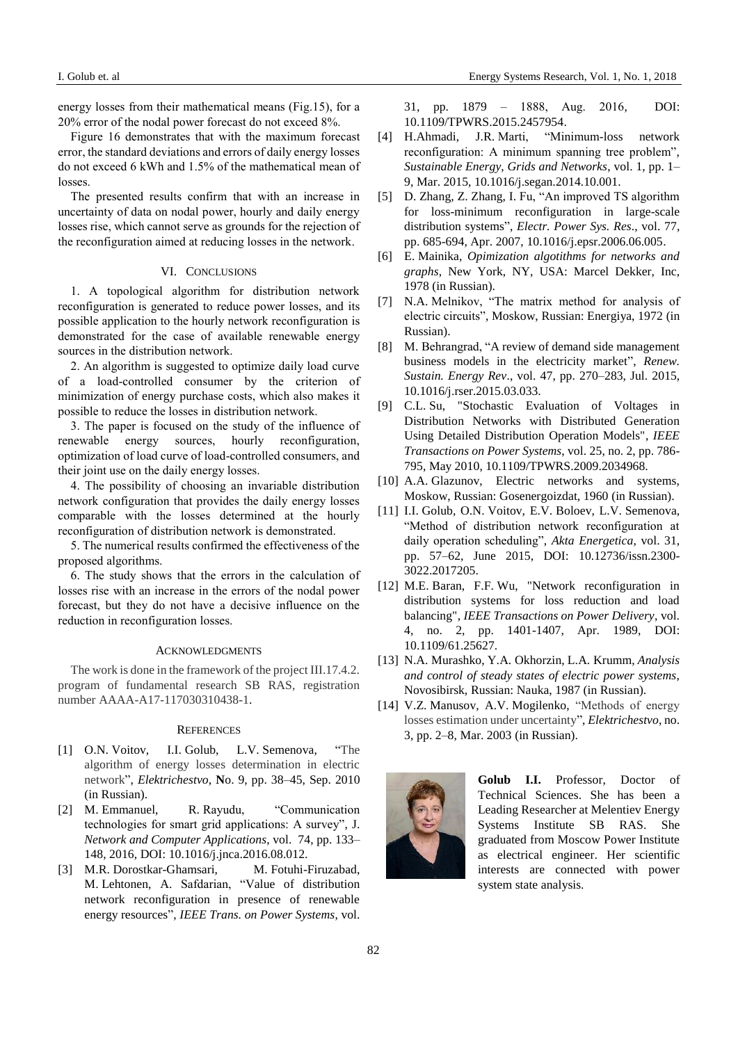energy losses from their mathematical means (Fig.15), for a 20% error of the nodal power forecast do not exceed 8%.

Figure 16 demonstrates that with the maximum forecast error, the standard deviations and errors of daily energy losses do not exceed 6 kWh and 1.5% of the mathematical mean of losses.

The presented results confirm that with an increase in uncertainty of data on nodal power, hourly and daily energy losses rise, which cannot serve as grounds for the rejection of the reconfiguration aimed at reducing losses in the network.

## VI. CONCLUSIONS

1. A topological algorithm for distribution network reconfiguration is generated to reduce power losses, and its possible application to the hourly network reconfiguration is demonstrated for the case of available renewable energy sources in the distribution network.

2. An algorithm is suggested to optimize daily load curve of a load-controlled consumer by the criterion of minimization of energy purchase costs, which also makes it possible to reduce the losses in distribution network.

3. The paper is focused on the study of the influence of renewable energy sources, hourly reconfiguration, optimization of load curve of load-controlled consumers, and their joint use on the daily energy losses.

4. The possibility of choosing an invariable distribution network configuration that provides the daily energy losses comparable with the losses determined at the hourly reconfiguration of distribution network is demonstrated.

5. The numerical results confirmed the effectiveness of the proposed algorithms.

6. The study shows that the errors in the calculation of losses rise with an increase in the errors of the nodal power forecast, but they do not have a decisive influence on the reduction in reconfiguration losses.

## ACKNOWLEDGMENTS

The work is done in the framework of the project III.17.4.2. program of fundamental research SB RAS, registration number AAAA-A17-117030310438-1.

#### **REFERENCES**

- [1] O.N. Voitov, I.I. Golub, L.V. Semenova, "The algorithm of energy losses determination in electric network", *Elektrichestvo*, **N**o. 9, pp. 38–45, Sep. 2010 (in Russian).
- [2] M. Emmanuel, R. Rayudu, "Communication technologies for smart grid applications: A survey", [J.](http://download.dblp.org/db/journals/jnca/jnca74.html#EmmanuelR16)  *[Network and Computer Applications](http://download.dblp.org/db/journals/jnca/jnca74.html#EmmanuelR16)*, vol. 74, pp. 133– 148, 2016, DOI: 10.1016/j.jnca.2016.08.012.
- [3] M.R. Dorostkar-Ghamsari, M. Fotuhi-Firuzabad, M. Lehtonen, A. Safdarian, ["Value of distribution](javascript:void(0))  [network reconfiguration in presence of renewable](javascript:void(0))  [energy resources"](javascript:void(0)), *IEEE Trans. on Power Systems*, vol.

31, pp. 1879 – 1888, Аug. 2016, DOI: [10.1109/TPWRS.2015.2457954.](https://doi.org/10.1109/TPWRS.2015.2457954)

- [4] H.Ahmadi, J.R. Marti, "Minimum-loss network reconfiguration: A minimum spanning tree problem", *[Sustainable Energy, Grids and Networks](http://www.sciencedirect.com/science/journal/23524677)*, vol. 1, pp. 1– 9, Mar. 2015, 10.1016/j.segan.2014.10.001.
- [5] D. Zhang, Z. Zhang, I. Fu, "An improved TS algorithm for loss-minimum reconfiguration in large-scale distribution systems", *Electr. Power Sys. Res*., vol. 77, pp. 685-694, Apr. 2007, [10.1016/j.epsr.2006.06.005.](https://doi.org/10.1016/j.epsr.2006.06.005)
- [6] E. Mainika, *Opimization algotithms for networks and graphs*, New York, NY, USA: Marcel Dekker, Inc, 1978 (in Russian).
- [7] N.A. Melnikov, "The matrix method for analysis of electric circuits", Moskow, Russian: Energiya, 1972 (in Russian).
- [8] M. Behrangrad, ["A review of demand side management](https://www.sciencedirect.com/science/article/pii/S1364032115001860)  [business models in the electricity market"](https://www.sciencedirect.com/science/article/pii/S1364032115001860), *Renew. Sustain. Energy Rev*., vol. 47, pp. 270–283, Jul. 2015, 10.1016/j.rser.2015.03.033.
- [9] C.L. Su, "Stochastic Evaluation of Voltages in Distribution Networks with Distributed Generation Using Detailed Distribution Operation Models", *IEEE Transactions on Power Systems*, vol. 25, no. 2, pp. 786- 795, May 2010, 10.1109/TPWRS.2009.2034968.
- [10] A.A. Glazunov, Electric networks and systems, Moskow, Russian: Gosenergoizdat, 1960 (in Russian).
- [11] I.I. Golub, O.N. Voitov, E.V. Boloev, L.V. Semenova, "Method of distribution network reconfiguration at daily operation scheduling", *Akta Energetica*, vol. 31, pp. 57–62, June 2015, DOI: 10.12736/issn.2300- 3022.2017205.
- [12] M.E. Baran, F.F. Wu, "Network reconfiguration in distribution systems for loss reduction and load balancing", *IEEE Transactions on Power Delivery*, vol. 4, no. 2, pp. 1401-1407, Apr. 1989, DOI: 10.1109/61.25627.
- [13] N.A. Murashko, Y.A. Okhorzin, L.A. Krumm, *Analysis and control of steady states of electric power systems*, Novosibirsk, Russian: Nauka, 1987 (in Russian).
- [14] V.Z. Manusov, A.V. Mogilenko, "Methods of energy losses estimation under uncertainty", *Elektrichestvo*, no. 3, pp. 2–8, Mar. 2003 (in Russian).



**Golub I.I.** Professor, Doctor of Technical Sciences. She has been a Leading Researcher at Melentiev Energy Systems Institute SB RAS. She graduated from Moscow Power Institute as electrical engineer. Her scientific interests are connected with power system state analysis.